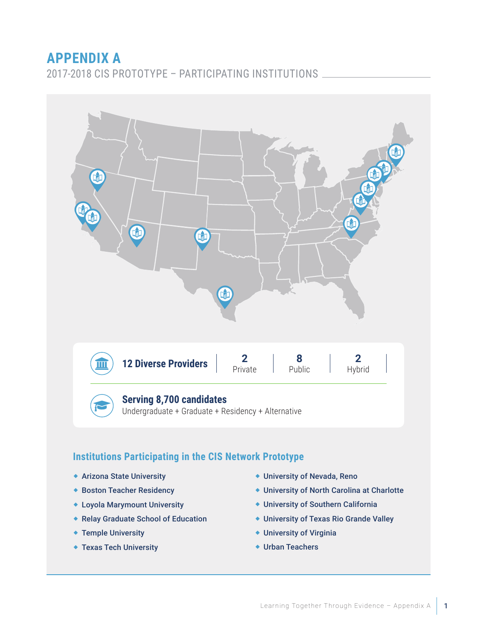# **APPENDIX A**

2017-2018 CIS PROTOTYPE – PARTICIPATING INSTITUTIONS



## **Institutions Participating in the CIS Network Prototype**

- Arizona State University
- ◆ Boston Teacher Residency
- Loyola Marymount University
- Relay Graduate School of Education
- ◆ Temple University
- Texas Tech University
- University of Nevada, Reno
- University of North Carolina at Charlotte
- University of Southern California
- University of Texas Rio Grande Valley
- University of Virginia
- Urban Teachers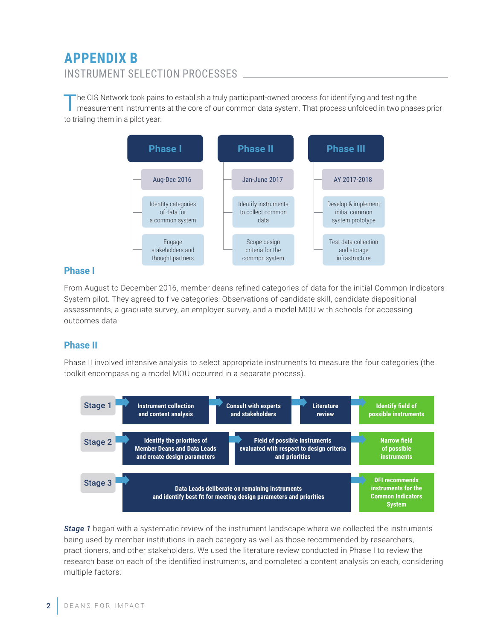# **APPENDIX B**  INSTRUMENT SELECTION PROCESSES

The CIS Network took pains to establish a truly participant-owned process for identifying and testing the measurement instruments at the core of our common data system. That process unfolded in two phases prior to trialing them in a pilot year:



#### **Phase I**

From August to December 2016, member deans refined categories of data for the initial Common Indicators System pilot. They agreed to five categories: Observations of candidate skill, candidate dispositional assessments, a graduate survey, an employer survey, and a model MOU with schools for accessing outcomes data.

#### **Phase II**

Phase II involved intensive analysis to select appropriate instruments to measure the four categories (the toolkit encompassing a model MOU occurred in a separate process).



*Stage 1* began with a systematic review of the instrument landscape where we collected the instruments being used by member institutions in each category as well as those recommended by researchers, practitioners, and other stakeholders. We used the literature review conducted in Phase I to review the research base on each of the identified instruments, and completed a content analysis on each, considering multiple factors: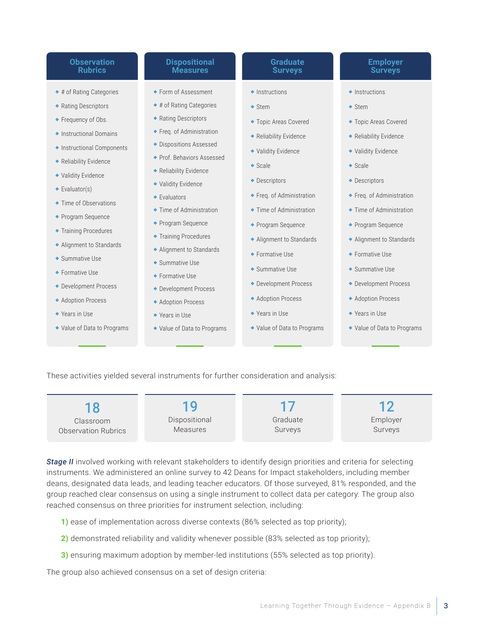#### **Observation Rubrics**

- ◆ # of Rating Categories
- ◆ Rating Descriptors
- ◆ Frequency of Obs.
- ◆ Instructional Domains
- Instructional Components
- ◆ Reliability Evidence
- Validity Evidence
- ◆ Evaluator(s)
- ◆ Time of Observations
- ◆ Program Sequence
- ◆ Training Procedures
- Alignment to Standards
- ◆ Summative Use
- ◆ Formative Use
- ◆ Development Process
- ◆ Adoption Process
- ◆ Years in Use
- Value of Data to Programs

#### **Dispositional Measures**

- ◆ Form of Assessment
- ◆ # of Rating Categories
- ◆ Rating Descriptors
- ◆ Freq. of Administration
- Dispositions Assessed
- Prof. Behaviors Assessed
- Reliability Evidence Validity Evidence
- ◆ Evaluators
- ◆ Time of Administration
- ◆ Program Sequence
- **Training Procedures**
- Alignment to Standards
- Summative Use
- Formative Use
- ◆ Development Process
- ◆ Adoption Process
- ◆ Years in Use
- Value of Data to Programs
- **Graduate Surveys**
- $\triangle$  Instructions
- ◆ Stem
- Topic Areas Covered
- Reliability Evidence
- Validity Evidence
- $\triangle$  Scale
- ◆ Descriptors
- Freq. of Administration
- ◆ Time of Administration
- ◆ Program Sequence
- Alignment to Standards
- ◆ Formative Use
- ◆ Summative Use
- ◆ Development Process
- Adoption Process
- ◆ Years in Use
- Value of Data to Programs

#### **Employer Surveys**

- $\triangle$  Instructions
- ◆ Stem
- Topic Areas Covered
- ◆ Reliability Evidence
- Validity Evidence
- ◆ Scale
- ◆ Descriptors
- Freq. of Administration
- ◆ Time of Administration
- ◆ Program Sequence
- Alignment to Standards
- ◆ Formative Use
- ◆ Summative Use
- ◆ Development Process
- ◆ Adoption Process
- ◆ Years in Use
- Value of Data to Programs

These activities yielded several instruments for further consideration and analysis:

18 Classroom Observation Rubrics

19 Dispositional Measures

17 Graduate Surveys

12 Employer Surveys

**Stage II** involved working with relevant stakeholders to identify design priorities and criteria for selecting instruments. We administered an online survey to 42 Deans for Impact stakeholders, including member deans, designated data leads, and leading teacher educators. Of those surveyed, 81% responded, and the group reached clear consensus on using a single instrument to collect data per category. The group also reached consensus on three priorities for instrument selection, including:

- **1)** ease of implementation across diverse contexts (86% selected as top priority);
- **2)** demonstrated reliability and validity whenever possible (83% selected as top priority);
- **3)** ensuring maximum adoption by member-led institutions (55% selected as top priority).

The group also achieved consensus on a set of design criteria: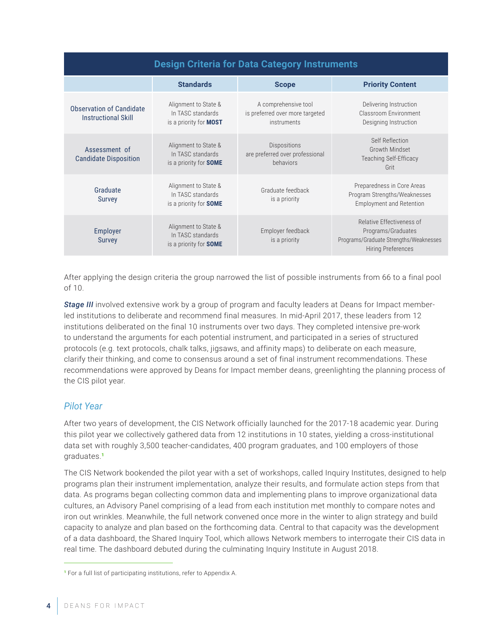### **Design Criteria for Data Category Instruments**

|                                                               | <b>Standards</b>                                                           | <b>Scope</b>                                                                  | <b>Priority Content</b>                                                                                                |
|---------------------------------------------------------------|----------------------------------------------------------------------------|-------------------------------------------------------------------------------|------------------------------------------------------------------------------------------------------------------------|
| <b>Observation of Candidate</b><br><b>Instructional Skill</b> | Alignment to State &<br>In TASC standards<br>is a priority for <b>MOST</b> | A comprehensive tool<br>is preferred over more targeted<br><i>instruments</i> | Delivering Instruction<br>Classroom Environment<br>Designing Instruction                                               |
| Assessment of<br><b>Candidate Disposition</b>                 | Alignment to State &<br>In TASC standards<br>is a priority for <b>SOME</b> | <b>Dispositions</b><br>are preferred over professional<br>behaviors           | Self Reflection<br>Growth Mindset<br><b>Teaching Self-Efficacy</b><br>Grit                                             |
| Graduate<br><b>Survey</b>                                     | Alignment to State &<br>In TASC standards<br>is a priority for <b>SOME</b> | Graduate feedback<br>is a priority                                            | Preparedness in Core Areas<br>Program Strengths/Weaknesses<br><b>Employment and Retention</b>                          |
| Employer<br><b>Survey</b>                                     | Alignment to State &<br>In TASC standards<br>is a priority for <b>SOME</b> | Employer feedback<br>is a priority                                            | Relative Effectiveness of<br>Programs/Graduates<br>Programs/Graduate Strengths/Weaknesses<br><b>Hiring Preferences</b> |

After applying the design criteria the group narrowed the list of possible instruments from 66 to a final pool of 10.

*Stage III* involved extensive work by a group of program and faculty leaders at Deans for Impact memberled institutions to deliberate and recommend final measures. In mid-April 2017, these leaders from 12 institutions deliberated on the final 10 instruments over two days. They completed intensive pre-work to understand the arguments for each potential instrument, and participated in a series of structured protocols (e.g. text protocols, chalk talks, jigsaws, and affinity maps) to deliberate on each measure, clarify their thinking, and come to consensus around a set of final instrument recommendations. These recommendations were approved by Deans for Impact member deans, greenlighting the planning process of the CIS pilot year.

#### *Pilot Year*

After two years of development, the CIS Network officially launched for the 2017-18 academic year. During this pilot year we collectively gathered data from 12 institutions in 10 states, yielding a cross-institutional data set with roughly 3,500 teacher-candidates, 400 program graduates, and 100 employers of those graduates.<sup>1</sup>

The CIS Network bookended the pilot year with a set of workshops, called Inquiry Institutes, designed to help programs plan their instrument implementation, analyze their results, and formulate action steps from that data. As programs began collecting common data and implementing plans to improve organizational data cultures, an Advisory Panel comprising of a lead from each institution met monthly to compare notes and iron out wrinkles. Meanwhile, the full network convened once more in the winter to align strategy and build capacity to analyze and plan based on the forthcoming data. Central to that capacity was the development of a data dashboard, the Shared Inquiry Tool, which allows Network members to interrogate their CIS data in real time. The dashboard debuted during the culminating Inquiry Institute in August 2018.

<sup>1</sup> For a full list of participating institutions, refer to Appendix A.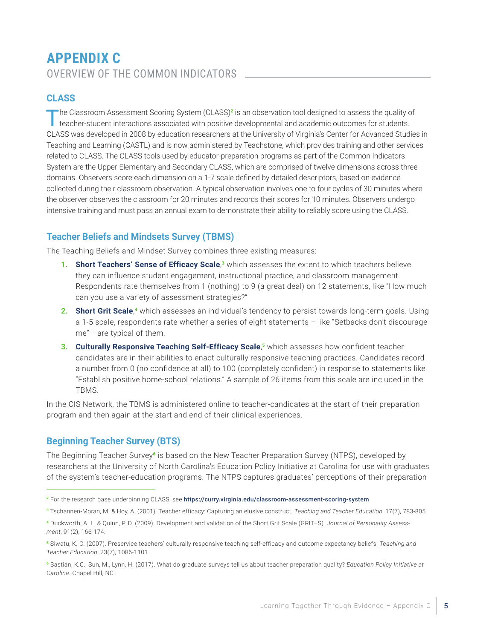# **APPENDIX C**  OVERVIEW OF THE COMMON INDICATORS

#### **CLASS**

The Classroom Assessment Scoring System (CLASS)<sup>2</sup> is an observation tool designed to assess the quality of teacher-student interactions associated with positive developmental and academic outcomes for students. CLASS was developed in 2008 by education researchers at the University of Virginia's Center for Advanced Studies in Teaching and Learning (CASTL) and is now administered by Teachstone, which provides training and other services related to CLASS. The CLASS tools used by educator-preparation programs as part of the Common Indicators System are the Upper Elementary and Secondary CLASS, which are comprised of twelve dimensions across three domains. Observers score each dimension on a 1-7 scale defined by detailed descriptors, based on evidence collected during their classroom observation. A typical observation involves one to four cycles of 30 minutes where the observer observes the classroom for 20 minutes and records their scores for 10 minutes. Observers undergo intensive training and must pass an annual exam to demonstrate their ability to reliably score using the CLASS.

### **Teacher Beliefs and Mindsets Survey (TBMS)**

The Teaching Beliefs and Mindset Survey combines three existing measures:

- **1. Short Teachers' Sense of Efficacy Scale,<sup>3</sup> which assesses the extent to which teachers believe** they can influence student engagement, instructional practice, and classroom management. Respondents rate themselves from 1 (nothing) to 9 (a great deal) on 12 statements, like "How much can you use a variety of assessment strategies?"
- 2. **Short Grit Scale**,<sup>4</sup> which assesses an individual's tendency to persist towards long-term goals. Using a 1-5 scale, respondents rate whether a series of eight statements – like "Setbacks don't discourage me"— are typical of them.
- **3. Culturally Responsive Teaching Self-Efficacy Scale**, 5 which assesses how confident teachercandidates are in their abilities to enact culturally responsive teaching practices. Candidates record a number from 0 (no confidence at all) to 100 (completely confident) in response to statements like "Establish positive home-school relations." A sample of 26 items from this scale are included in the TBMS.

In the CIS Network, the TBMS is administered online to teacher-candidates at the start of their preparation program and then again at the start and end of their clinical experiences.

### **Beginning Teacher Survey (BTS)**

The Beginning Teacher Survey<sup>6</sup> is based on the New Teacher Preparation Survey (NTPS), developed by researchers at the University of North Carolina's Education Policy Initiative at Carolina for use with graduates of the system's teacher-education programs. The NTPS captures graduates' perceptions of their preparation

<sup>2</sup> For the research base underpinning CLASS, see https://curry.virginia.edu/classroom-assessment-scoring-system

<sup>3</sup> Tschannen-Moran, M. & Hoy, A. (2001). Teacher efficacy: Capturing an elusive construct. *Teaching and Teacher Education*, 17(7), 783-805.

<sup>4</sup> Duckworth, A. L. & Quinn, P. D. (2009). Development and validation of the Short Grit Scale (GRIT–S). *Journal of Personality Assessment*, 91(2), 166-174.

<sup>5</sup> Siwatu, K. O. (2007). Preservice teachers' culturally responsive teaching self-efficacy and outcome expectancy beliefs. *Teaching and Teacher Education*, 23(7), 1086-1101.

<sup>6</sup> Bastian, K.C., Sun, M., Lynn, H. (2017). What do graduate surveys tell us about teacher preparation quality? *Education Policy Initiative at Carolina.* Chapel Hill, NC.